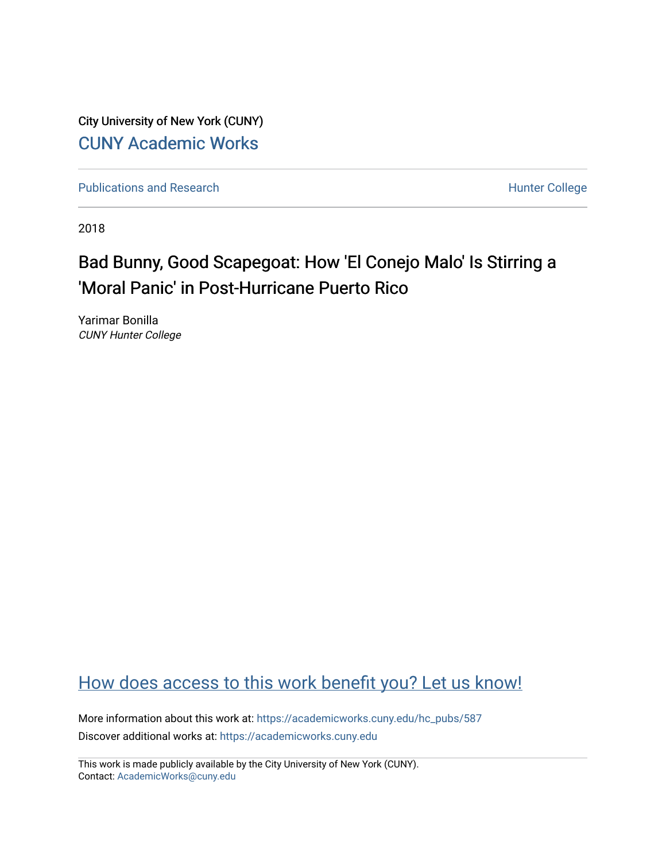City University of New York (CUNY) [CUNY Academic Works](https://academicworks.cuny.edu/) 

[Publications and Research](https://academicworks.cuny.edu/hc_pubs) **Hunter College** Hunter College

2018

### Bad Bunny, Good Scapegoat: How 'El Conejo Malo' Is Stirring a 'Moral Panic' in Post-Hurricane Puerto Rico

Yarimar Bonilla CUNY Hunter College

### [How does access to this work benefit you? Let us know!](http://ols.cuny.edu/academicworks/?ref=https://academicworks.cuny.edu/hc_pubs/587)

More information about this work at: [https://academicworks.cuny.edu/hc\\_pubs/587](https://academicworks.cuny.edu/hc_pubs/587) Discover additional works at: [https://academicworks.cuny.edu](https://academicworks.cuny.edu/?)

This work is made publicly available by the City University of New York (CUNY). Contact: [AcademicWorks@cuny.edu](mailto:AcademicWorks@cuny.edu)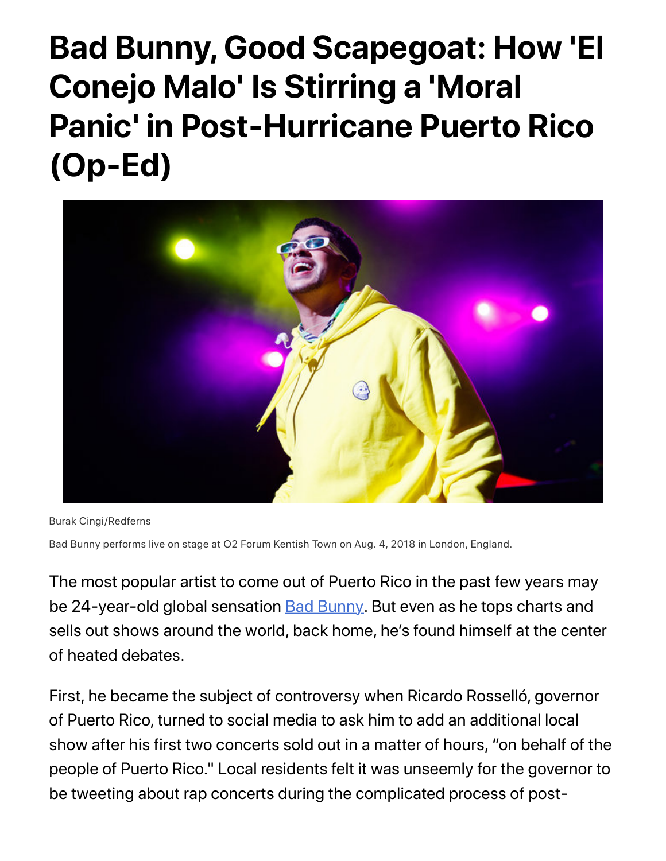# **Bad Bunny, Good Scapegoat: How 'El Conejo Malo' Is Stirring a 'Moral Panic' in Post-Hurricane Puerto Rico (Op-Ed)**



Burak Cingi/Redferns

Bad Bunny performs live on stage at O2 Forum Kentish Town on Aug. 4, 2018 in London, England.

The most popular artist to come out of Puerto Rico in the past few years may be 24-year-old global sensation **Bad Bunny**. But even as he tops charts and sells out shows around the world, back home, he's found himself at the center of heated debates.

First, he became the subject of controversy when Ricardo Rosselló, governor of Puerto Rico, turned to social media to ask him to add an additional local show after his first two concerts sold out in a matter of hours, "on behalf of the people of Puerto Rico." Local residents felt it was unseemly for the governor to be tweeting about rap concerts during the complicated process of post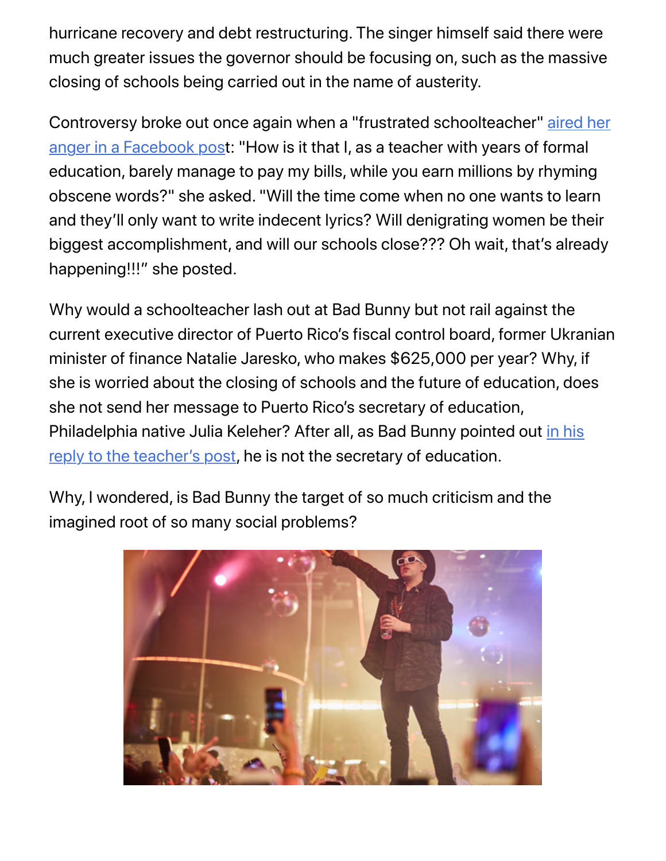hurricane recovery and debt restructuring. The singer himself said there were much greater issues the governor should be focusing on, such as the massive closing of schools being carried out in the name of austerity.

[Controversy broke out once again when a "frustrated schoolteacher" aired her](https://www.facebook.com/jessica.valley.921/posts/10160841895470386) anger in a Facebook post: "How is it that I, as a teacher with years of formal education, barely manage to pay my bills, while you earn millions by rhyming obscene words?" she asked. "Will the time come when no one wants to learn and they'll only want to write indecent lyrics? Will denigrating women be their biggest accomplishment, and will our schools close??? Oh wait, that's already happening!!!" she posted.

Why would a schoolteacher lash out at Bad Bunny but not rail against the current executive director of Puerto Rico's fiscal control board, former Ukranian minister of finance Natalie Jaresko, who makes \$625,000 per year? Why, if she is worried about the closing of schools and the future of education, does she not send her message to Puerto Rico's secretary of education, [Philadelphia native Julia Keleher? After all, as Bad Bunny pointed out in his](http://remezcla.com/music/bad-bunny-education-puerto-rico/) reply to the teacher's post, he is not the secretary of education.

Why, I wondered, is Bad Bunny the target of so much criticism and the imagined root of so many social problems?

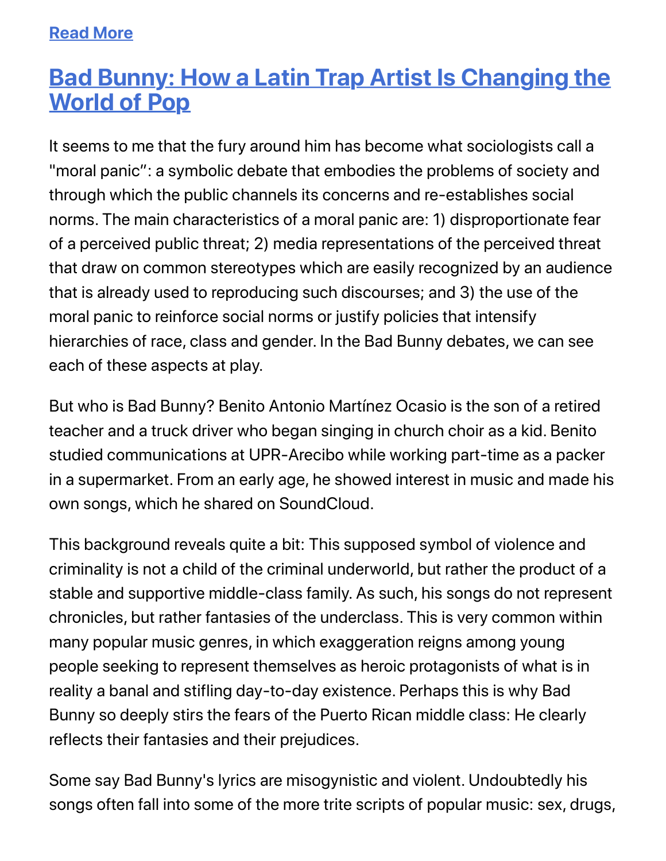### **Read More**

## **[Bad Bunny: How a Latin Trap Artist Is Changing the](https://www.billboard.com/articles/partner/8480619/bad-bunny-how-a-latin-trap-artist-is-changing-the-world-of-pop) World of Pop**

It seems to me that the fury around him has become what sociologists call a "moral panic": a symbolic debate that embodies the problems of society and through which the public channels its concerns and re-establishes social norms. The main characteristics of a moral panic are: 1) disproportionate fear of a perceived public threat; 2) media representations of the perceived threat that draw on common stereotypes which are easily recognized by an audience that is already used to reproducing such discourses; and 3) the use of the moral panic to reinforce social norms or justify policies that intensify hierarchies of race, class and gender. In the Bad Bunny debates, we can see each of these aspects at play.

But who is Bad Bunny? Benito Antonio Martínez Ocasio is the son of a retired teacher and a truck driver who began singing in church choir as a kid. Benito studied communications at UPR-Arecibo while working part-time as a packer in a supermarket. From an early age, he showed interest in music and made his own songs, which he shared on SoundCloud.

This background reveals quite a bit: This supposed symbol of violence and criminality is not a child of the criminal underworld, but rather the product of a stable and supportive middle-class family. As such, his songs do not represent chronicles, but rather fantasies of the underclass. This is very common within many popular music genres, in which exaggeration reigns among young people seeking to represent themselves as heroic protagonists of what is in reality a banal and stifling day-to-day existence. Perhaps this is why Bad Bunny so deeply stirs the fears of the Puerto Rican middle class: He clearly reflects their fantasies and their prejudices.

Some say Bad Bunny's lyrics are misogynistic and violent. Undoubtedly his songs often fall into some of the more trite scripts of popular music: sex, drugs,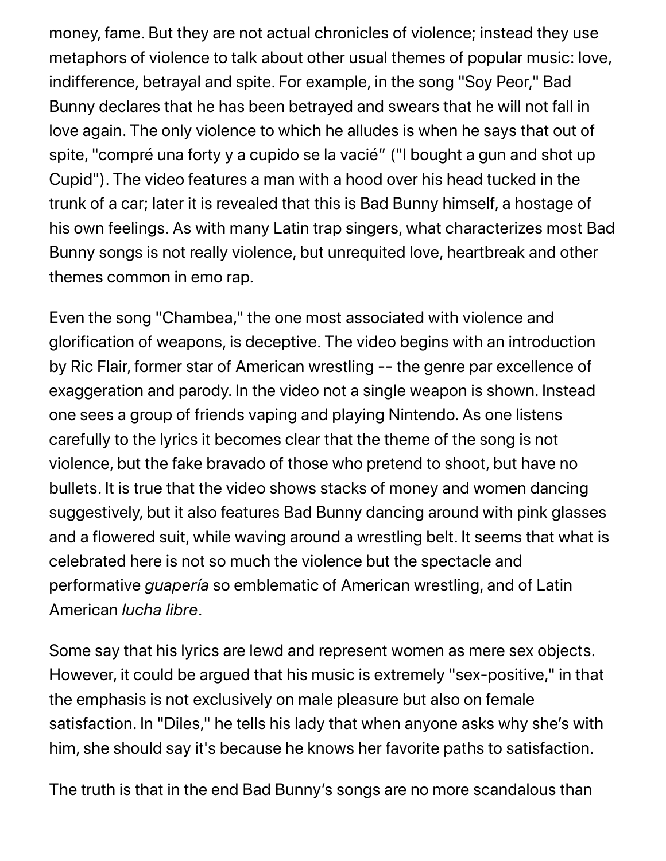money, fame. But they are not actual chronicles of violence; instead they use metaphors of violence to talk about other usual themes of popular music: love, indifference, betrayal and spite. For example, in the song "Soy Peor," Bad Bunny declares that he has been betrayed and swears that he will not fall in love again. The only violence to which he alludes is when he says that out of spite, "compré una forty y a cupido se la vacié" ("I bought a gun and shot up Cupid"). The video features a man with a hood over his head tucked in the trunk of a car; later it is revealed that this is Bad Bunny himself, a hostage of his own feelings. As with many Latin trap singers, what characterizes most Bad Bunny songs is not really violence, but unrequited love, heartbreak and other themes common in emo rap.

Even the song "Chambea," the one most associated with violence and glorification of weapons, is deceptive. The video begins with an introduction by Ric Flair, former star of American wrestling -- the genre par excellence of exaggeration and parody. In the video not a single weapon is shown. Instead one sees a group of friends vaping and playing Nintendo. As one listens carefully to the lyrics it becomes clear that the theme of the song is not violence, but the fake bravado of those who pretend to shoot, but have no bullets. It is true that the video shows stacks of money and women dancing suggestively, but it also features Bad Bunny dancing around with pink glasses and a flowered suit, while waving around a wrestling belt. It seems that what is celebrated here is not so much the violence but the spectacle and performative *guapería* so emblematic of American wrestling, and of Latin American *lucha libre*.

Some say that his lyrics are lewd and represent women as mere sex objects. However, it could be argued that his music is extremely "sex-positive," in that the emphasis is not exclusively on male pleasure but also on female satisfaction. In "Diles," he tells his lady that when anyone asks why she's with him, she should say it's because he knows her favorite paths to satisfaction.

The truth is that in the end Bad Bunny's songs are no more scandalous than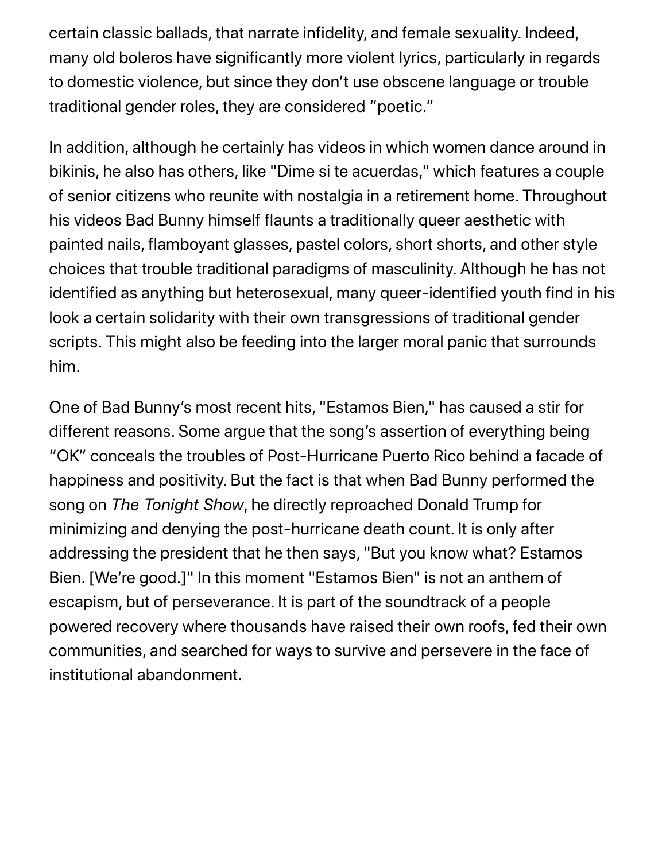certain classic ballads, that narrate infidelity, and female sexuality. Indeed, many old boleros have significantly more violent lyrics, particularly in regards to domestic violence, but since they don't use obscene language or trouble traditional gender roles, they are considered "poetic."

In addition, although he certainly has videos in which women dance around in bikinis, he also has others, like "Dime si te acuerdas," which features a couple of senior citizens who reunite with nostalgia in a retirement home. Throughout his videos Bad Bunny himself flaunts a traditionally queer aesthetic with painted nails, flamboyant glasses, pastel colors, short shorts, and other style choices that trouble traditional paradigms of masculinity. Although he has not identified as anything but heterosexual, many queer-identified youth find in his look a certain solidarity with their own transgressions of traditional gender scripts. This might also be feeding into the larger moral panic that surrounds him.

One of Bad Bunny's most recent hits, "Estamos Bien," has caused a stir for different reasons. Some argue that the song's assertion of everything being "OK" conceals the troubles of Post-Hurricane Puerto Rico behind a facade of happiness and positivity. But the fact is that when Bad Bunny performed the song on *The Tonight Show*, he directly reproached Donald Trump for minimizing and denying the post-hurricane death count. It is only after addressing the president that he then says, "But you know what? Estamos Bien. [We're good.]" In this moment "Estamos Bien" is not an anthem of escapism, but of perseverance. It is part of the soundtrack of a people powered recovery where thousands have raised their own roofs, fed their own communities, and searched for ways to survive and persevere in the face of institutional abandonment.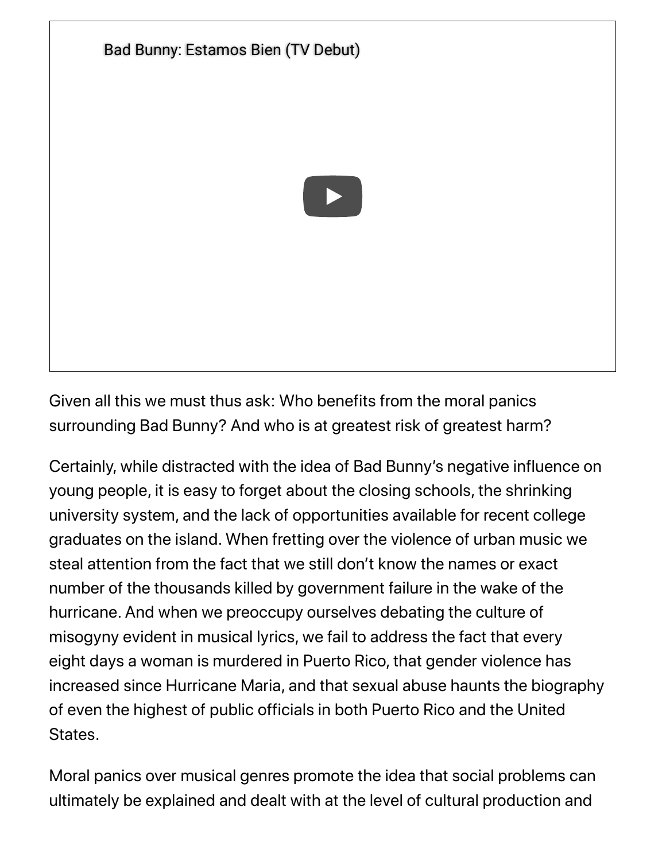

Given all this we must thus ask: Who benefits from the moral panics surrounding Bad Bunny? And who is at greatest risk of greatest harm?

Certainly, while distracted with the idea of Bad Bunny's negative influence on young people, it is easy to forget about the closing schools, the shrinking university system, and the lack of opportunities available for recent college graduates on the island. When fretting over the violence of urban music we steal attention from the fact that we still don't know the names or exact number of the thousands killed by government failure in the wake of the hurricane. And when we preoccupy ourselves debating the culture of misogyny evident in musical lyrics, we fail to address the fact that every eight days a woman is murdered in Puerto Rico, that gender violence has increased since Hurricane Maria, and that sexual abuse haunts the biography of even the highest of public officials in both Puerto Rico and the United States.

Moral panics over musical genres promote the idea that social problems can ultimately be explained and dealt with at the level of cultural production and